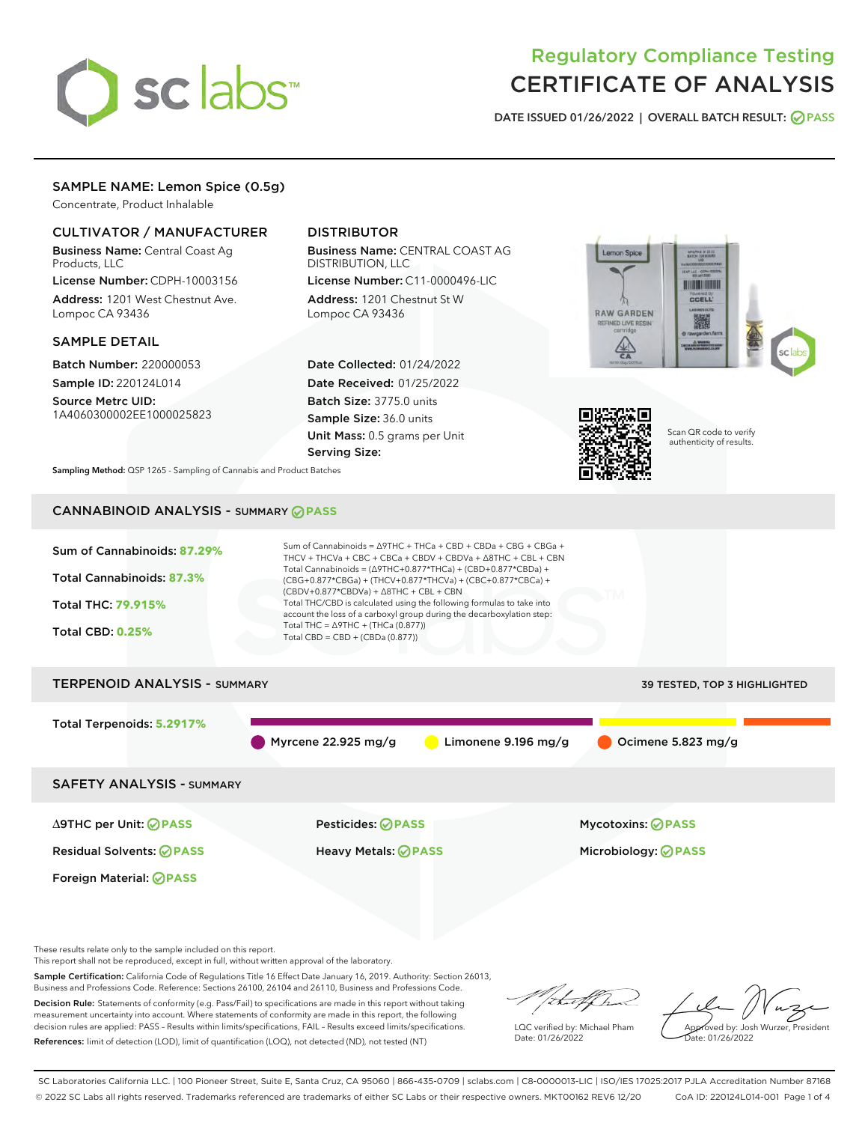

# Regulatory Compliance Testing CERTIFICATE OF ANALYSIS

DATE ISSUED 01/26/2022 | OVERALL BATCH RESULT: @ PASS

## SAMPLE NAME: Lemon Spice (0.5g)

Concentrate, Product Inhalable

## CULTIVATOR / MANUFACTURER

Business Name: Central Coast Ag Products, LLC

License Number: CDPH-10003156 Address: 1201 West Chestnut Ave. Lompoc CA 93436

#### SAMPLE DETAIL

Batch Number: 220000053 Sample ID: 220124L014

Source Metrc UID: 1A4060300002EE1000025823

## DISTRIBUTOR

Business Name: CENTRAL COAST AG DISTRIBUTION, LLC License Number: C11-0000496-LIC

Address: 1201 Chestnut St W Lompoc CA 93436

Date Collected: 01/24/2022 Date Received: 01/25/2022 Batch Size: 3775.0 units Sample Size: 36.0 units Unit Mass: 0.5 grams per Unit Serving Size:





Scan QR code to verify authenticity of results.

Sampling Method: QSP 1265 - Sampling of Cannabis and Product Batches

## CANNABINOID ANALYSIS - SUMMARY **PASS**



These results relate only to the sample included on this report.

This report shall not be reproduced, except in full, without written approval of the laboratory.

Sample Certification: California Code of Regulations Title 16 Effect Date January 16, 2019. Authority: Section 26013, Business and Professions Code. Reference: Sections 26100, 26104 and 26110, Business and Professions Code.

Decision Rule: Statements of conformity (e.g. Pass/Fail) to specifications are made in this report without taking measurement uncertainty into account. Where statements of conformity are made in this report, the following decision rules are applied: PASS – Results within limits/specifications, FAIL – Results exceed limits/specifications. References: limit of detection (LOD), limit of quantification (LOQ), not detected (ND), not tested (NT)

that f ha

LQC verified by: Michael Pham Date: 01/26/2022

Approved by: Josh Wurzer, President Date: 01/26/2022

SC Laboratories California LLC. | 100 Pioneer Street, Suite E, Santa Cruz, CA 95060 | 866-435-0709 | sclabs.com | C8-0000013-LIC | ISO/IES 17025:2017 PJLA Accreditation Number 87168 © 2022 SC Labs all rights reserved. Trademarks referenced are trademarks of either SC Labs or their respective owners. MKT00162 REV6 12/20 CoA ID: 220124L014-001 Page 1 of 4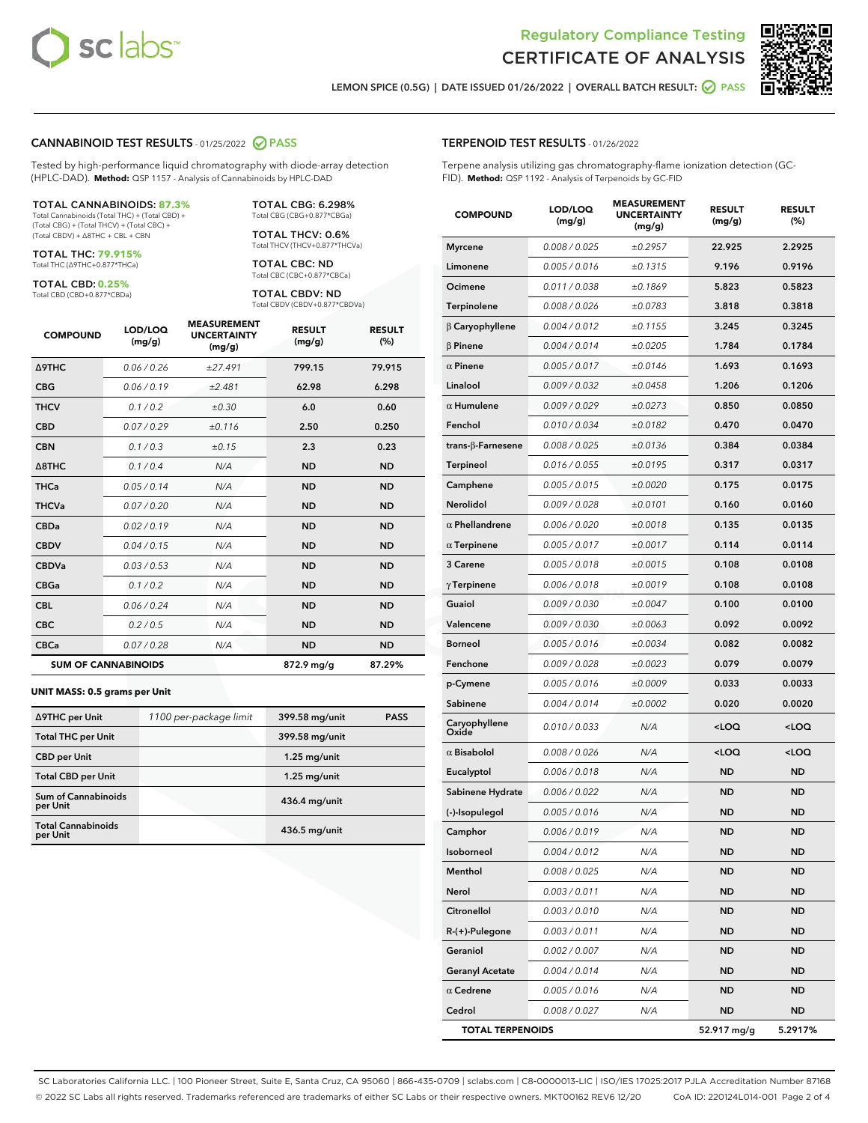



LEMON SPICE (0.5G) | DATE ISSUED 01/26/2022 | OVERALL BATCH RESULT: **⊘** PASS

#### CANNABINOID TEST RESULTS - 01/25/2022 2 PASS

Tested by high-performance liquid chromatography with diode-array detection (HPLC-DAD). **Method:** QSP 1157 - Analysis of Cannabinoids by HPLC-DAD

#### TOTAL CANNABINOIDS: **87.3%**

Total Cannabinoids (Total THC) + (Total CBD) + (Total CBG) + (Total THCV) + (Total CBC) + (Total CBDV) + ∆8THC + CBL + CBN

TOTAL THC: **79.915%** Total THC (∆9THC+0.877\*THCa)

TOTAL CBD: **0.25%**

Total CBD (CBD+0.877\*CBDa)

TOTAL CBG: 6.298% Total CBG (CBG+0.877\*CBGa)

TOTAL THCV: 0.6% Total THCV (THCV+0.877\*THCVa)

TOTAL CBC: ND Total CBC (CBC+0.877\*CBCa)

TOTAL CBDV: ND Total CBDV (CBDV+0.877\*CBDVa)

| <b>COMPOUND</b>            | LOD/LOQ<br>(mg/g) | <b>MEASUREMENT</b><br><b>UNCERTAINTY</b><br>(mg/g) | <b>RESULT</b><br>(mg/g) | <b>RESULT</b><br>(%) |
|----------------------------|-------------------|----------------------------------------------------|-------------------------|----------------------|
| Δ9THC                      | 0.06 / 0.26       | ±27.491                                            | 799.15                  | 79.915               |
| <b>CBG</b>                 | 0.06 / 0.19       | ±2.481                                             | 62.98                   | 6.298                |
| <b>THCV</b>                | 0.1 / 0.2         | ±0.30                                              | 6.0                     | 0.60                 |
| <b>CBD</b>                 | 0.07/0.29         | ±0.116                                             | 2.50                    | 0.250                |
| <b>CBN</b>                 | 0.1/0.3           | ±0.15                                              | 2.3                     | 0.23                 |
| $\triangle$ 8THC           | 0.1 / 0.4         | N/A                                                | <b>ND</b>               | <b>ND</b>            |
| <b>THCa</b>                | 0.05/0.14         | N/A                                                | <b>ND</b>               | <b>ND</b>            |
| <b>THCVa</b>               | 0.07/0.20         | N/A                                                | <b>ND</b>               | <b>ND</b>            |
| <b>CBDa</b>                | 0.02/0.19         | N/A                                                | <b>ND</b>               | <b>ND</b>            |
| <b>CBDV</b>                | 0.04 / 0.15       | N/A                                                | <b>ND</b>               | <b>ND</b>            |
| <b>CBDVa</b>               | 0.03/0.53         | N/A                                                | <b>ND</b>               | <b>ND</b>            |
| <b>CBGa</b>                | 0.1 / 0.2         | N/A                                                | <b>ND</b>               | <b>ND</b>            |
| <b>CBL</b>                 | 0.06 / 0.24       | N/A                                                | <b>ND</b>               | <b>ND</b>            |
| <b>CBC</b>                 | 0.2 / 0.5         | N/A                                                | <b>ND</b>               | <b>ND</b>            |
| <b>CBCa</b>                | 0.07 / 0.28       | N/A                                                | <b>ND</b>               | <b>ND</b>            |
| <b>SUM OF CANNABINOIDS</b> |                   |                                                    | $872.9$ mg/g            | 87.29%               |

#### **UNIT MASS: 0.5 grams per Unit**

| ∆9THC per Unit                         | 1100 per-package limit | 399.58 mg/unit  | <b>PASS</b> |
|----------------------------------------|------------------------|-----------------|-------------|
| <b>Total THC per Unit</b>              |                        | 399.58 mg/unit  |             |
| <b>CBD</b> per Unit                    |                        | $1.25$ mg/unit  |             |
| <b>Total CBD per Unit</b>              |                        | $1.25$ mg/unit  |             |
| <b>Sum of Cannabinoids</b><br>per Unit |                        | $436.4$ mg/unit |             |
| <b>Total Cannabinoids</b><br>per Unit  |                        | $436.5$ mg/unit |             |

| <b>COMPOUND</b>          | LOD/LOQ<br>(mg/g) | ๚วบแ⊑เพ<br><b>UNCERTAINTY</b><br>(mg/g) | <b>RESULT</b><br>(mg/g)                          | <b>RESULT</b><br>$(\%)$ |
|--------------------------|-------------------|-----------------------------------------|--------------------------------------------------|-------------------------|
| <b>Myrcene</b>           | 0.008 / 0.025     | ±0.2957                                 | 22.925                                           | 2.2925                  |
| Limonene                 | 0.005 / 0.016     | ±0.1315                                 | 9.196                                            | 0.9196                  |
| Ocimene                  | 0.011 / 0.038     | ±0.1869                                 | 5.823                                            | 0.5823                  |
| Terpinolene              | 0.008 / 0.026     | ±0.0783                                 | 3.818                                            | 0.3818                  |
| $\beta$ Caryophyllene    | 0.004 / 0.012     | ±0.1155                                 | 3.245                                            | 0.3245                  |
| $\beta$ Pinene           | 0.004 / 0.014     | ±0.0205                                 | 1.784                                            | 0.1784                  |
| $\alpha$ Pinene          | 0.005 / 0.017     | ±0.0146                                 | 1.693                                            | 0.1693                  |
| Linalool                 | 0.009 / 0.032     | ±0.0458                                 | 1.206                                            | 0.1206                  |
| $\alpha$ Humulene        | 0.009 / 0.029     | ±0.0273                                 | 0.850                                            | 0.0850                  |
| Fenchol                  | 0.010 / 0.034     | ±0.0182                                 | 0.470                                            | 0.0470                  |
| $trans-\beta$ -Farnesene | 0.008 / 0.025     | ±0.0136                                 | 0.384                                            | 0.0384                  |
| Terpineol                | 0.016 / 0.055     | ±0.0195                                 | 0.317                                            | 0.0317                  |
| Camphene                 | 0.005 / 0.015     | ±0.0020                                 | 0.175                                            | 0.0175                  |
| Nerolidol                | 0.009 / 0.028     | ±0.0101                                 | 0.160                                            | 0.0160                  |
| $\alpha$ Phellandrene    | 0.006 / 0.020     | ±0.0018                                 | 0.135                                            | 0.0135                  |
| $\alpha$ Terpinene       | 0.005 / 0.017     | ±0.0017                                 | 0.114                                            | 0.0114                  |
| 3 Carene                 | 0.005 / 0.018     | ±0.0015                                 | 0.108                                            | 0.0108                  |
| $\gamma$ Terpinene       | 0.006 / 0.018     | ±0.0019                                 | 0.108                                            | 0.0108                  |
| Guaiol                   | 0.009 / 0.030     | ±0.0047                                 | 0.100                                            | 0.0100                  |
| Valencene                | 0.009 / 0.030     | ±0.0063                                 | 0.092                                            | 0.0092                  |
| Borneol                  | 0.005 / 0.016     | ±0.0034                                 | 0.082                                            | 0.0082                  |
| Fenchone                 | 0.009 / 0.028     | ±0.0023                                 | 0.079                                            | 0.0079                  |
| p-Cymene                 | 0.005 / 0.016     | ±0.0009                                 | 0.033                                            | 0.0033                  |
| Sabinene                 | 0.004 / 0.014     | ±0.0002                                 | 0.020                                            | 0.0020                  |
| Caryophyllene<br>Oxide   | 0.010 / 0.033     | N/A                                     | <loq< th=""><th><loq< th=""></loq<></th></loq<>  | <loq< th=""></loq<>     |
| $\alpha$ Bisabolol       | 0.008 / 0.026     | N/A                                     | <loq< th=""><th><math>&lt;</math>LOQ</th></loq<> | $<$ LOQ                 |
| Eucalyptol               | 0.006 / 0.018     | N/A                                     | <b>ND</b>                                        | <b>ND</b>               |
| Sabinene Hydrate         | 0.006 / 0.022     | N/A                                     | <b>ND</b>                                        | ND                      |
| (-)-Isopulegol           | 0.005 / 0.016     | N/A                                     | <b>ND</b>                                        | <b>ND</b>               |
| Camphor                  | 0.006 / 0.019     | N/A                                     | <b>ND</b>                                        | <b>ND</b>               |
| Isoborneol               | 0.004 / 0.012     | N/A                                     | <b>ND</b>                                        | <b>ND</b>               |
| Menthol                  | 0.008 / 0.025     | N/A                                     | ND                                               | ND                      |
| Nerol                    | 0.003 / 0.011     | N/A                                     | <b>ND</b>                                        | ND                      |
| Citronellol              | 0.003 / 0.010     | N/A                                     | ND                                               | ND                      |
| R-(+)-Pulegone           | 0.003 / 0.011     | N/A                                     | ND                                               | ND                      |
| Geraniol                 | 0.002 / 0.007     | N/A                                     | <b>ND</b>                                        | ND                      |
| <b>Geranyl Acetate</b>   | 0.004 / 0.014     | N/A                                     | ND                                               | ND                      |
| $\alpha$ Cedrene         | 0.005 / 0.016     | N/A                                     | ND                                               | ND                      |
| Cedrol                   | 0.008 / 0.027     | N/A                                     | <b>ND</b>                                        | ND                      |
| <b>TOTAL TERPENOIDS</b>  |                   |                                         | 52.917 mg/g                                      | 5.2917%                 |

SC Laboratories California LLC. | 100 Pioneer Street, Suite E, Santa Cruz, CA 95060 | 866-435-0709 | sclabs.com | C8-0000013-LIC | ISO/IES 17025:2017 PJLA Accreditation Number 87168 © 2022 SC Labs all rights reserved. Trademarks referenced are trademarks of either SC Labs or their respective owners. MKT00162 REV6 12/20 CoA ID: 220124L014-001 Page 2 of 4

## TERPENOID TEST RESULTS - 01/26/2022

Terpene analysis utilizing gas chromatography-flame ionization detection (GC-FID). **Method:** QSP 1192 - Analysis of Terpenoids by GC-FID

MEACUREMENT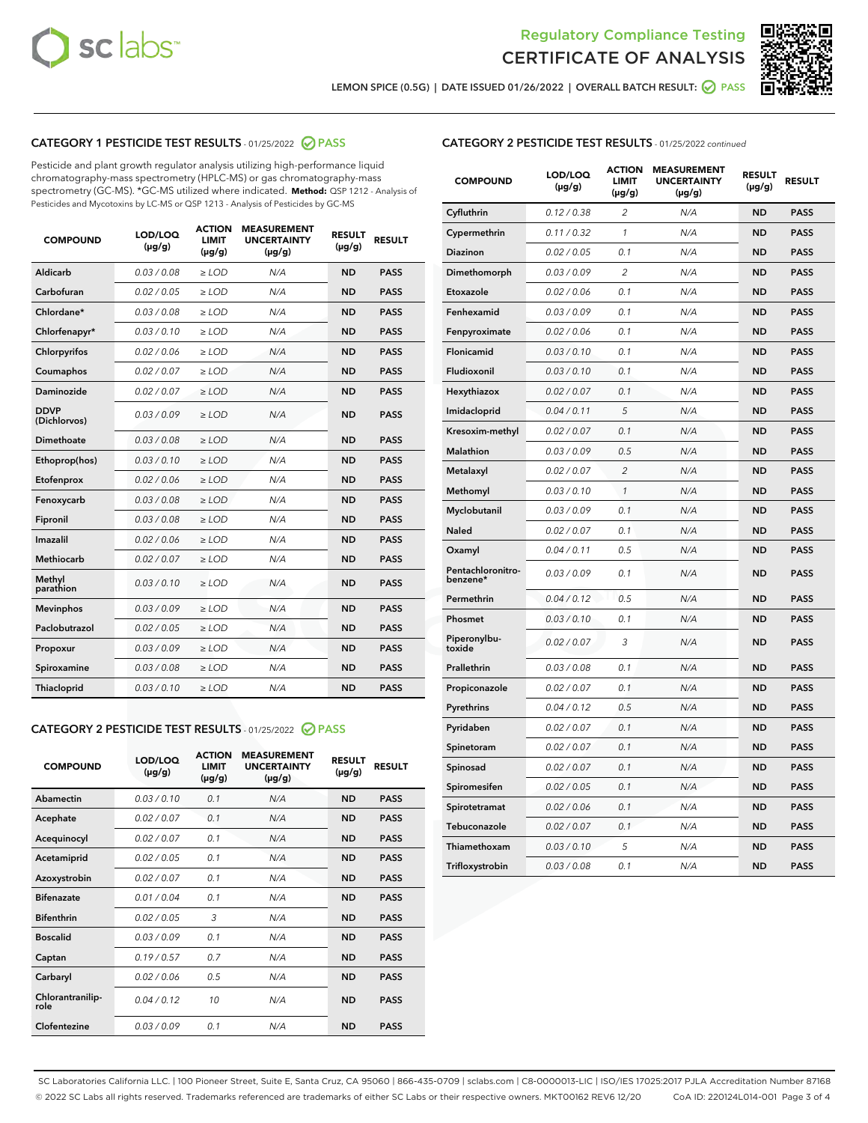



LEMON SPICE (0.5G) | DATE ISSUED 01/26/2022 | OVERALL BATCH RESULT:  $\bigcirc$  PASS

## CATEGORY 1 PESTICIDE TEST RESULTS - 01/25/2022 2 PASS

Pesticide and plant growth regulator analysis utilizing high-performance liquid chromatography-mass spectrometry (HPLC-MS) or gas chromatography-mass spectrometry (GC-MS). \*GC-MS utilized where indicated. **Method:** QSP 1212 - Analysis of Pesticides and Mycotoxins by LC-MS or QSP 1213 - Analysis of Pesticides by GC-MS

| 0.03/0.08<br><b>ND</b><br>Aldicarb<br>$>$ LOD<br>N/A<br><b>PASS</b><br>Carbofuran<br>0.02 / 0.05<br><b>ND</b><br><b>PASS</b><br>$>$ LOD<br>N/A<br>Chlordane*<br>0.03 / 0.08<br>N/A<br><b>ND</b><br><b>PASS</b><br>$\ge$ LOD<br>Chlorfenapyr*<br>0.03/0.10<br><b>ND</b><br><b>PASS</b><br>$\ge$ LOD<br>N/A<br>N/A<br><b>ND</b><br><b>PASS</b><br>Chlorpyrifos<br>0.02 / 0.06<br>$\ge$ LOD<br>Coumaphos<br>0.02 / 0.07<br>N/A<br><b>ND</b><br><b>PASS</b><br>$\ge$ LOD<br>Daminozide<br>0.02 / 0.07<br>N/A<br><b>ND</b><br><b>PASS</b><br>$\ge$ LOD<br><b>DDVP</b><br>0.03/0.09<br>$>$ LOD<br>N/A<br><b>ND</b><br><b>PASS</b><br>(Dichlorvos)<br>Dimethoate<br>0.03/0.08<br>$>$ LOD<br>N/A<br><b>ND</b><br><b>PASS</b><br>0.03/0.10<br><b>ND</b><br><b>PASS</b><br>Ethoprop(hos)<br>$\ge$ LOD<br>N/A<br>0.02 / 0.06<br>N/A<br><b>ND</b><br><b>PASS</b><br>Etofenprox<br>$\ge$ LOD<br>Fenoxycarb<br>0.03 / 0.08<br>N/A<br><b>ND</b><br><b>PASS</b><br>$\ge$ LOD<br>0.03/0.08<br><b>ND</b><br><b>PASS</b><br>Fipronil<br>$\ge$ LOD<br>N/A<br>Imazalil<br>0.02 / 0.06<br>$\ge$ LOD<br>N/A<br><b>ND</b><br><b>PASS</b><br>Methiocarb<br>0.02 / 0.07<br><b>PASS</b><br>$\ge$ LOD<br>N/A<br><b>ND</b><br>Methyl<br>0.03/0.10<br>$\ge$ LOD<br>N/A<br><b>ND</b><br><b>PASS</b><br>parathion<br>0.03/0.09<br><b>ND</b><br><b>Mevinphos</b><br>$\ge$ LOD<br>N/A<br><b>PASS</b><br>Paclobutrazol<br>0.02 / 0.05<br>$\ge$ LOD<br>N/A<br><b>ND</b><br><b>PASS</b><br>0.03/0.09<br>$\ge$ LOD<br>N/A<br><b>ND</b><br><b>PASS</b><br>Propoxur<br>Spiroxamine<br>0.03 / 0.08<br>$\ge$ LOD<br>N/A<br><b>ND</b><br><b>PASS</b><br>0.03/0.10<br><b>ND</b><br><b>PASS</b><br><b>Thiacloprid</b><br>$\ge$ LOD<br>N/A | <b>COMPOUND</b> | LOD/LOQ<br>$(\mu g/g)$ | <b>ACTION</b><br>LIMIT<br>$(\mu g/g)$ | <b>MEASUREMENT</b><br><b>UNCERTAINTY</b><br>$(\mu g/g)$ | <b>RESULT</b><br>$(\mu g/g)$ | <b>RESULT</b> |
|----------------------------------------------------------------------------------------------------------------------------------------------------------------------------------------------------------------------------------------------------------------------------------------------------------------------------------------------------------------------------------------------------------------------------------------------------------------------------------------------------------------------------------------------------------------------------------------------------------------------------------------------------------------------------------------------------------------------------------------------------------------------------------------------------------------------------------------------------------------------------------------------------------------------------------------------------------------------------------------------------------------------------------------------------------------------------------------------------------------------------------------------------------------------------------------------------------------------------------------------------------------------------------------------------------------------------------------------------------------------------------------------------------------------------------------------------------------------------------------------------------------------------------------------------------------------------------------------------------------------------------------------------------------------------------------------|-----------------|------------------------|---------------------------------------|---------------------------------------------------------|------------------------------|---------------|
|                                                                                                                                                                                                                                                                                                                                                                                                                                                                                                                                                                                                                                                                                                                                                                                                                                                                                                                                                                                                                                                                                                                                                                                                                                                                                                                                                                                                                                                                                                                                                                                                                                                                                              |                 |                        |                                       |                                                         |                              |               |
|                                                                                                                                                                                                                                                                                                                                                                                                                                                                                                                                                                                                                                                                                                                                                                                                                                                                                                                                                                                                                                                                                                                                                                                                                                                                                                                                                                                                                                                                                                                                                                                                                                                                                              |                 |                        |                                       |                                                         |                              |               |
|                                                                                                                                                                                                                                                                                                                                                                                                                                                                                                                                                                                                                                                                                                                                                                                                                                                                                                                                                                                                                                                                                                                                                                                                                                                                                                                                                                                                                                                                                                                                                                                                                                                                                              |                 |                        |                                       |                                                         |                              |               |
|                                                                                                                                                                                                                                                                                                                                                                                                                                                                                                                                                                                                                                                                                                                                                                                                                                                                                                                                                                                                                                                                                                                                                                                                                                                                                                                                                                                                                                                                                                                                                                                                                                                                                              |                 |                        |                                       |                                                         |                              |               |
|                                                                                                                                                                                                                                                                                                                                                                                                                                                                                                                                                                                                                                                                                                                                                                                                                                                                                                                                                                                                                                                                                                                                                                                                                                                                                                                                                                                                                                                                                                                                                                                                                                                                                              |                 |                        |                                       |                                                         |                              |               |
|                                                                                                                                                                                                                                                                                                                                                                                                                                                                                                                                                                                                                                                                                                                                                                                                                                                                                                                                                                                                                                                                                                                                                                                                                                                                                                                                                                                                                                                                                                                                                                                                                                                                                              |                 |                        |                                       |                                                         |                              |               |
|                                                                                                                                                                                                                                                                                                                                                                                                                                                                                                                                                                                                                                                                                                                                                                                                                                                                                                                                                                                                                                                                                                                                                                                                                                                                                                                                                                                                                                                                                                                                                                                                                                                                                              |                 |                        |                                       |                                                         |                              |               |
|                                                                                                                                                                                                                                                                                                                                                                                                                                                                                                                                                                                                                                                                                                                                                                                                                                                                                                                                                                                                                                                                                                                                                                                                                                                                                                                                                                                                                                                                                                                                                                                                                                                                                              |                 |                        |                                       |                                                         |                              |               |
|                                                                                                                                                                                                                                                                                                                                                                                                                                                                                                                                                                                                                                                                                                                                                                                                                                                                                                                                                                                                                                                                                                                                                                                                                                                                                                                                                                                                                                                                                                                                                                                                                                                                                              |                 |                        |                                       |                                                         |                              |               |
|                                                                                                                                                                                                                                                                                                                                                                                                                                                                                                                                                                                                                                                                                                                                                                                                                                                                                                                                                                                                                                                                                                                                                                                                                                                                                                                                                                                                                                                                                                                                                                                                                                                                                              |                 |                        |                                       |                                                         |                              |               |
|                                                                                                                                                                                                                                                                                                                                                                                                                                                                                                                                                                                                                                                                                                                                                                                                                                                                                                                                                                                                                                                                                                                                                                                                                                                                                                                                                                                                                                                                                                                                                                                                                                                                                              |                 |                        |                                       |                                                         |                              |               |
|                                                                                                                                                                                                                                                                                                                                                                                                                                                                                                                                                                                                                                                                                                                                                                                                                                                                                                                                                                                                                                                                                                                                                                                                                                                                                                                                                                                                                                                                                                                                                                                                                                                                                              |                 |                        |                                       |                                                         |                              |               |
|                                                                                                                                                                                                                                                                                                                                                                                                                                                                                                                                                                                                                                                                                                                                                                                                                                                                                                                                                                                                                                                                                                                                                                                                                                                                                                                                                                                                                                                                                                                                                                                                                                                                                              |                 |                        |                                       |                                                         |                              |               |
|                                                                                                                                                                                                                                                                                                                                                                                                                                                                                                                                                                                                                                                                                                                                                                                                                                                                                                                                                                                                                                                                                                                                                                                                                                                                                                                                                                                                                                                                                                                                                                                                                                                                                              |                 |                        |                                       |                                                         |                              |               |
|                                                                                                                                                                                                                                                                                                                                                                                                                                                                                                                                                                                                                                                                                                                                                                                                                                                                                                                                                                                                                                                                                                                                                                                                                                                                                                                                                                                                                                                                                                                                                                                                                                                                                              |                 |                        |                                       |                                                         |                              |               |
|                                                                                                                                                                                                                                                                                                                                                                                                                                                                                                                                                                                                                                                                                                                                                                                                                                                                                                                                                                                                                                                                                                                                                                                                                                                                                                                                                                                                                                                                                                                                                                                                                                                                                              |                 |                        |                                       |                                                         |                              |               |
|                                                                                                                                                                                                                                                                                                                                                                                                                                                                                                                                                                                                                                                                                                                                                                                                                                                                                                                                                                                                                                                                                                                                                                                                                                                                                                                                                                                                                                                                                                                                                                                                                                                                                              |                 |                        |                                       |                                                         |                              |               |
|                                                                                                                                                                                                                                                                                                                                                                                                                                                                                                                                                                                                                                                                                                                                                                                                                                                                                                                                                                                                                                                                                                                                                                                                                                                                                                                                                                                                                                                                                                                                                                                                                                                                                              |                 |                        |                                       |                                                         |                              |               |
|                                                                                                                                                                                                                                                                                                                                                                                                                                                                                                                                                                                                                                                                                                                                                                                                                                                                                                                                                                                                                                                                                                                                                                                                                                                                                                                                                                                                                                                                                                                                                                                                                                                                                              |                 |                        |                                       |                                                         |                              |               |
|                                                                                                                                                                                                                                                                                                                                                                                                                                                                                                                                                                                                                                                                                                                                                                                                                                                                                                                                                                                                                                                                                                                                                                                                                                                                                                                                                                                                                                                                                                                                                                                                                                                                                              |                 |                        |                                       |                                                         |                              |               |
|                                                                                                                                                                                                                                                                                                                                                                                                                                                                                                                                                                                                                                                                                                                                                                                                                                                                                                                                                                                                                                                                                                                                                                                                                                                                                                                                                                                                                                                                                                                                                                                                                                                                                              |                 |                        |                                       |                                                         |                              |               |

## CATEGORY 2 PESTICIDE TEST RESULTS - 01/25/2022 2 PASS

| <b>COMPOUND</b>          | LOD/LOQ<br>$(\mu g/g)$ | <b>ACTION</b><br>LIMIT<br>$(\mu g/g)$ | <b>MEASUREMENT</b><br><b>UNCERTAINTY</b><br>$(\mu g/g)$ | <b>RESULT</b><br>$(\mu g/g)$ | <b>RESULT</b> |
|--------------------------|------------------------|---------------------------------------|---------------------------------------------------------|------------------------------|---------------|
| Abamectin                | 0.03/0.10              | 0.1                                   | N/A                                                     | <b>ND</b>                    | <b>PASS</b>   |
| Acephate                 | 0.02/0.07              | 0.1                                   | N/A                                                     | <b>ND</b>                    | <b>PASS</b>   |
| Acequinocyl              | 0.02/0.07              | 0.1                                   | N/A                                                     | <b>ND</b>                    | <b>PASS</b>   |
| Acetamiprid              | 0.02/0.05              | 0.1                                   | N/A                                                     | <b>ND</b>                    | <b>PASS</b>   |
| Azoxystrobin             | 0.02/0.07              | 0.1                                   | N/A                                                     | <b>ND</b>                    | <b>PASS</b>   |
| <b>Bifenazate</b>        | 0.01/0.04              | 0.1                                   | N/A                                                     | <b>ND</b>                    | <b>PASS</b>   |
| <b>Bifenthrin</b>        | 0.02/0.05              | 3                                     | N/A                                                     | <b>ND</b>                    | <b>PASS</b>   |
| <b>Boscalid</b>          | 0.03/0.09              | 0.1                                   | N/A                                                     | <b>ND</b>                    | <b>PASS</b>   |
| Captan                   | 0.19/0.57              | 0.7                                   | N/A                                                     | <b>ND</b>                    | <b>PASS</b>   |
| Carbaryl                 | 0.02/0.06              | 0.5                                   | N/A                                                     | <b>ND</b>                    | <b>PASS</b>   |
| Chlorantranilip-<br>role | 0.04/0.12              | 10                                    | N/A                                                     | <b>ND</b>                    | <b>PASS</b>   |
| Clofentezine             | 0.03/0.09              | 0.1                                   | N/A                                                     | <b>ND</b>                    | <b>PASS</b>   |

| <b>COMPOUND</b>               | LOD/LOQ<br>(µg/g) | <b>ACTION</b><br>LIMIT<br>(µg/g) | <b>MEASUREMENT</b><br><b>UNCERTAINTY</b><br>$(\mu g/g)$ | <b>RESULT</b><br>(µg/g) | <b>RESULT</b> |
|-------------------------------|-------------------|----------------------------------|---------------------------------------------------------|-------------------------|---------------|
| Cyfluthrin                    | 0.12 / 0.38       | $\overline{c}$                   | N/A                                                     | <b>ND</b>               | <b>PASS</b>   |
| Cypermethrin                  | 0.11/0.32         | 1                                | N/A                                                     | <b>ND</b>               | <b>PASS</b>   |
| <b>Diazinon</b>               | 0.02 / 0.05       | 0.1                              | N/A                                                     | <b>ND</b>               | <b>PASS</b>   |
| Dimethomorph                  | 0.03 / 0.09       | 2                                | N/A                                                     | ND                      | <b>PASS</b>   |
| Etoxazole                     | 0.02 / 0.06       | 0.1                              | N/A                                                     | ND                      | <b>PASS</b>   |
| Fenhexamid                    | 0.03 / 0.09       | 0.1                              | N/A                                                     | <b>ND</b>               | <b>PASS</b>   |
| Fenpyroximate                 | 0.02 / 0.06       | 0.1                              | N/A                                                     | <b>ND</b>               | <b>PASS</b>   |
| Flonicamid                    | 0.03/0.10         | 0.1                              | N/A                                                     | <b>ND</b>               | <b>PASS</b>   |
| Fludioxonil                   | 0.03/0.10         | 0.1                              | N/A                                                     | <b>ND</b>               | <b>PASS</b>   |
| Hexythiazox                   | 0.02 / 0.07       | 0.1                              | N/A                                                     | <b>ND</b>               | <b>PASS</b>   |
| Imidacloprid                  | 0.04 / 0.11       | 5                                | N/A                                                     | <b>ND</b>               | <b>PASS</b>   |
| Kresoxim-methyl               | 0.02 / 0.07       | 0.1                              | N/A                                                     | ND                      | <b>PASS</b>   |
| <b>Malathion</b>              | 0.03 / 0.09       | 0.5                              | N/A                                                     | <b>ND</b>               | <b>PASS</b>   |
| Metalaxyl                     | 0.02 / 0.07       | $\overline{c}$                   | N/A                                                     | ND                      | <b>PASS</b>   |
| Methomyl                      | 0.03 / 0.10       | 1                                | N/A                                                     | <b>ND</b>               | <b>PASS</b>   |
| Myclobutanil                  | 0.03 / 0.09       | 0.1                              | N/A                                                     | <b>ND</b>               | <b>PASS</b>   |
| Naled                         | 0.02 / 0.07       | 0.1                              | N/A                                                     | <b>ND</b>               | <b>PASS</b>   |
| Oxamyl                        | 0.04 / 0.11       | 0.5                              | N/A                                                     | ND                      | <b>PASS</b>   |
| Pentachloronitro-<br>benzene* | 0.03 / 0.09       | 0.1                              | N/A                                                     | ND                      | <b>PASS</b>   |
| Permethrin                    | 0.04 / 0.12       | 0.5                              | N/A                                                     | <b>ND</b>               | <b>PASS</b>   |
| Phosmet                       | 0.03 / 0.10       | 0.1                              | N/A                                                     | <b>ND</b>               | <b>PASS</b>   |
| Piperonylbu-<br>toxide        | 0.02 / 0.07       | 3                                | N/A                                                     | <b>ND</b>               | <b>PASS</b>   |
| Prallethrin                   | 0.03 / 0.08       | 0.1                              | N/A                                                     | <b>ND</b>               | <b>PASS</b>   |
| Propiconazole                 | 0.02 / 0.07       | 0.1                              | N/A                                                     | <b>ND</b>               | <b>PASS</b>   |
| Pyrethrins                    | 0.04 / 0.12       | 0.5                              | N/A                                                     | <b>ND</b>               | <b>PASS</b>   |
| Pyridaben                     | 0.02 / 0.07       | 0.1                              | N/A                                                     | ND                      | <b>PASS</b>   |
| Spinetoram                    | 0.02 / 0.07       | 0.1                              | N/A                                                     | <b>ND</b>               | <b>PASS</b>   |
| Spinosad                      | 0.02 / 0.07       | 0.1                              | N/A                                                     | <b>ND</b>               | <b>PASS</b>   |
| Spiromesifen                  | 0.02 / 0.05       | 0.1                              | N/A                                                     | ND                      | PASS          |
| Spirotetramat                 | 0.02 / 0.06       | 0.1                              | N/A                                                     | <b>ND</b>               | <b>PASS</b>   |
| Tebuconazole                  | 0.02 / 0.07       | 0.1                              | N/A                                                     | <b>ND</b>               | <b>PASS</b>   |
| Thiamethoxam                  | 0.03 / 0.10       | 5                                | N/A                                                     | ND                      | <b>PASS</b>   |
| Trifloxystrobin               | 0.03 / 0.08       | 0.1                              | N/A                                                     | ND                      | <b>PASS</b>   |

SC Laboratories California LLC. | 100 Pioneer Street, Suite E, Santa Cruz, CA 95060 | 866-435-0709 | sclabs.com | C8-0000013-LIC | ISO/IES 17025:2017 PJLA Accreditation Number 87168 © 2022 SC Labs all rights reserved. Trademarks referenced are trademarks of either SC Labs or their respective owners. MKT00162 REV6 12/20 CoA ID: 220124L014-001 Page 3 of 4